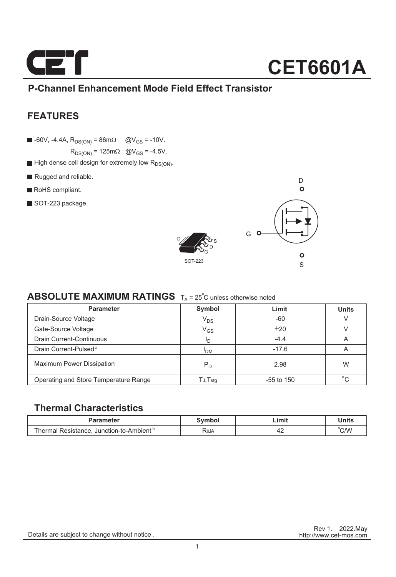

### **CET6601A**

### **P-Channel Enhancement Mode Field Effect Transistor**

### **FEATURES**

 $\blacksquare$  -60V, -4.4A,  $R_{DS(ON)} = 86 \text{m}\Omega$  @V<sub>GS</sub> = -10V.

 $R_{DS(ON)}$  = 125m $\Omega$  @V<sub>GS</sub> = -4.5V.

- $\blacksquare$  High dense cell design for extremely low  $R_{DS(ON)}$ .
- Rugged and reliable.
- RoHS compliant.
- SOT-223 package.





#### **ABSOLUTE MAXIMUM RATINGS**  $T_A = 25^\circ C$  unless otherwise noted

| <b>Parameter</b>                      | Symbol                     | Limit        | <b>Units</b> |
|---------------------------------------|----------------------------|--------------|--------------|
| Drain-Source Voltage                  | $V_{DS}$                   | $-60$        |              |
| Gate-Source Voltage                   | $\mathsf{V}_{\mathsf{GS}}$ | ±20          |              |
| <b>Drain Current-Continuous</b>       | חי                         | $-4.4$       | A            |
| Drain Current-Pulsed <sup>a</sup>     | <sup>I</sup> DM            | $-17.6$      | A            |
| <b>Maximum Power Dissipation</b>      | $P_D$                      | 2.98         | W            |
| Operating and Store Temperature Range | $T$ J, $T$ stq             | $-55$ to 150 | $\circ$      |

#### **Thermal Characteristics**

| Parameter                                            | Svmbol      | Limit | Units |
|------------------------------------------------------|-------------|-------|-------|
| Thermal Resistance. Junction-to-Ambient <sup>b</sup> | <b>ROJA</b> |       | °C/W  |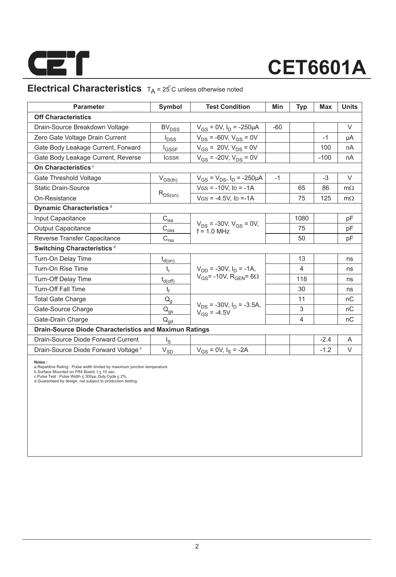

# **CET6601A**

### **Electrical Characteristics**  $T_A = 25^\circ$ C unless otherwise noted

| <b>Parameter</b>                                              | Symbol                                           | <b>Test Condition</b>                               | Min  | Typ            | Max    | <b>Units</b> |  |  |  |  |
|---------------------------------------------------------------|--------------------------------------------------|-----------------------------------------------------|------|----------------|--------|--------------|--|--|--|--|
| <b>Off Characteristics</b>                                    |                                                  |                                                     |      |                |        |              |  |  |  |  |
| Drain-Source Breakdown Voltage                                | BV <sub>DSS</sub>                                | $V_{GS} = 0V$ , $I_D = -250 \mu A$<br>$-60$         |      |                |        | $\vee$       |  |  |  |  |
| Zero Gate Voltage Drain Current                               | $I_{DSS}$                                        | $V_{DS}$ = -60V, $V_{GS}$ = 0V                      |      |                | $-1$   | μA           |  |  |  |  |
| Gate Body Leakage Current, Forward                            | $I_{GSSF}$                                       | $V_{GS}$ = 20V, $V_{DS}$ = 0V                       |      |                | 100    | nA           |  |  |  |  |
| Gate Body Leakage Current, Reverse                            | <b>IGSSR</b>                                     | $V_{GS}$ = -20V, $V_{DS}$ = 0V                      |      |                | $-100$ | nA           |  |  |  |  |
| On Characteristics <sup>c</sup>                               |                                                  |                                                     |      |                |        |              |  |  |  |  |
| Gate Threshold Voltage                                        | $V_{GS(th)}$                                     | $V_{GS} = V_{DS}$ , $I_D = -250 \mu A$              | $-1$ |                | $-3$   | $\vee$       |  |  |  |  |
| <b>Static Drain-Source</b>                                    |                                                  | $VGS = -10V$ , $ID = -1A$                           |      | 65             | 86     | $m\Omega$    |  |  |  |  |
| On-Resistance                                                 | $R_{DS(on)}$                                     | $V$ GS = -4.5V, ID =-1A                             |      | 75             | 125    | $m\Omega$    |  |  |  |  |
| Dynamic Characteristics <sup>d</sup>                          |                                                  |                                                     |      |                |        |              |  |  |  |  |
| Input Capacitance                                             | $C_{\text{iss}}$                                 |                                                     |      | 1080           |        | pF           |  |  |  |  |
| <b>Output Capacitance</b>                                     | $\text{C}_{\text{oss}}$                          | $V_{DS}$ = -30V, $V_{GS}$ = 0V,<br>$f = 10$ MHz     |      | 75             |        | pF           |  |  |  |  |
| Reverse Transfer Capacitance                                  | $\mathsf{C}_{\mathsf{r}\underline{\mathsf{ss}}}$ |                                                     |      | 50             |        | pF           |  |  |  |  |
| Switching Characteristics <sup>d</sup>                        |                                                  |                                                     |      |                |        |              |  |  |  |  |
| Turn-On Delay Time                                            | $t_{d(0n)}$                                      |                                                     |      | 13             |        | ns           |  |  |  |  |
| Turn-On Rise Time                                             | t,                                               | $V_{DD}$ = -30V, $I_D$ = -1A,                       |      | 4              |        | ns           |  |  |  |  |
| Turn-Off Delay Time                                           | $t_{d(\text{off})}$                              | $V_{GS}$ = -10V, R <sub>GEN</sub> = 6 $\Omega$      |      | 118            |        | ns           |  |  |  |  |
| <b>Turn-Off Fall Time</b>                                     | t <sub>f</sub>                                   |                                                     |      | 30             |        | ns           |  |  |  |  |
| <b>Total Gate Charge</b>                                      | $Q_{q}$                                          |                                                     |      | 11             |        | nC           |  |  |  |  |
| Gate-Source Charge                                            | $\mathsf{Q}_{\text{g}\underline{s}}$             | $V_{DS}$ = -30V, $I_D$ = -3.5A,<br>$V_{GS} = -4.5V$ |      | 3              |        | nC           |  |  |  |  |
| Gate-Drain Charge                                             | $\mathsf{Q}_{\mathsf{qd}}$                       |                                                     |      | $\overline{4}$ |        | nC           |  |  |  |  |
| <b>Drain-Source Diode Characteristics and Maximun Ratings</b> |                                                  |                                                     |      |                |        |              |  |  |  |  |
| Drain-Source Diode Forward Current                            | اج                                               |                                                     |      |                | $-2.4$ | A            |  |  |  |  |
| Drain-Source Diode Forward Voltage <sup>c</sup>               | $\mathsf{V}_{\mathsf{S}\underline{\mathsf{D}}}$  | $V_{GS} = 0V$ , $I_S = -2A$                         |      |                | $-1.2$ | $\vee$       |  |  |  |  |
|                                                               |                                                  |                                                     |      |                |        |              |  |  |  |  |

**Notes :**<br>a.Repetitive Rating : Pulse width limited by maximum junction temperature<br>b.Surface Mounted on FR4 Board, t ≤ 10 sec.<br>c.Pulse Test : Pulse Width ≤ 300µs, Duly Cyde ≤ 2%.<br>d.Guaranteed by design, not subject to pr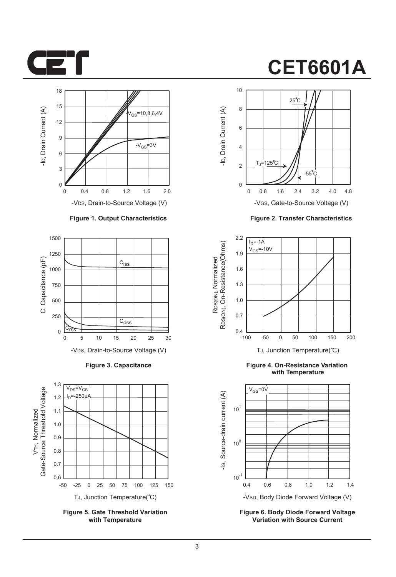



#### **Figure 1. Output Characteristics**



**Figure 3. Capacitance**



**Figure 5. Gate Threshold Variation with Temperature**

### **CET6601A**



**Figure 2. Transfer Characteristics**



**Figure 4. On-Resistance Variation with Temperature**



**Figure 6. Body Diode Forward Voltage Variation with Source Current**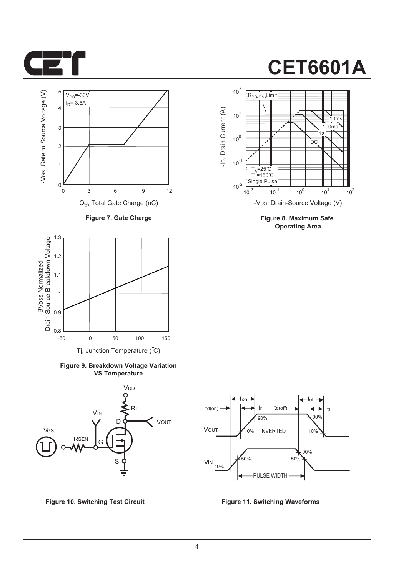



**Figure 7. Gate Charge**



**Figure 9. Breakdown Voltage Variation VS Temperature**







**Figure 8. Maximum Safe Operating Area**